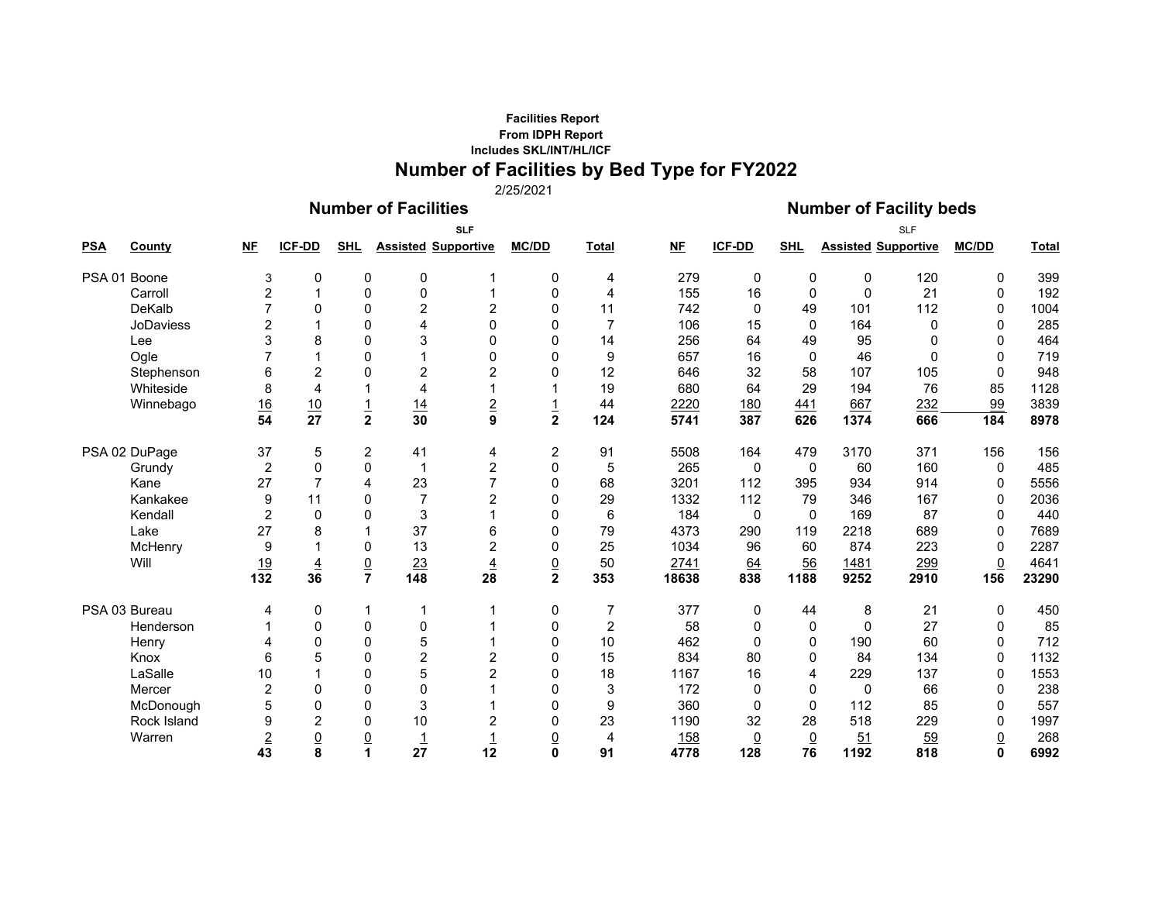## **Facilities Report From IDPH Report Includes SKL/INT/HL/ICFNumber of Facilities by Bed Type for FY2022**

2/25/2021

## **Number of Facilities Number of Facility beds**

| <b>PSA</b>   | <b>County</b> | <b>NF</b>           | <b>ICF-DD</b>        | <b>SHL</b>        |                 | <b>SLF</b><br><b>Assisted Supportive</b> | <b>MC/DD</b>            | <b>Total</b>   | $NE$  | ICF-DD         | <b>SHL</b>     |              | <b>SLF</b><br><b>Assisted Supportive</b> | <b>MC/DD</b>    | <b>Total</b> |
|--------------|---------------|---------------------|----------------------|-------------------|-----------------|------------------------------------------|-------------------------|----------------|-------|----------------|----------------|--------------|------------------------------------------|-----------------|--------------|
| PSA 01 Boone |               |                     | $\pmb{0}$            | 0                 | 0               |                                          | 0                       |                | 279   | $\mathbf 0$    | 0              | 0            | 120                                      | 0               | 399          |
|              | Carroll       | 3<br>$\overline{c}$ | 1                    | 0                 | $\mathbf 0$     |                                          | $\mathbf 0$             | 4<br>4         | 155   | 16             | 0              | $\mathbf 0$  | 21                                       | 0               | 192          |
|              | DeKalb        |                     | $\mathbf{0}$         | 0                 | $\overline{2}$  | 2                                        | $\mathbf{0}$            | 11             | 742   | $\Omega$       | 49             | 101          | 112                                      | 0               | 1004         |
|              | JoDaviess     |                     | 1                    | 0                 | 4               | 0                                        | 0                       | $\overline{7}$ | 106   | 15             | $\Omega$       | 164          | 0                                        | 0               | 285          |
|              | Lee           | 2<br>3              | 8                    | $\mathbf{0}$      | 3               | 0                                        | 0                       | 14             |       | 64             | 49             | 95           | $\Omega$                                 | 0               | 464          |
|              |               |                     | $\mathbf{1}$         |                   | 1               | 0                                        | $\Omega$                |                | 256   |                | $\Omega$       | 46           | $\mathbf{0}$                             |                 |              |
|              | Ogle          |                     |                      | 0<br>$\mathbf{0}$ |                 |                                          | 0                       | 9              | 657   | 16             |                |              |                                          | 0<br>$\Omega$   | 719          |
|              | Stephenson    | 6                   | $\overline{2}$       |                   | $\overline{c}$  | 2                                        |                         | 12             | 646   | 32             | 58             | 107          | 105                                      |                 | 948          |
|              | Whiteside     | 8                   | $\overline{4}$       | 1                 | 4               |                                          |                         | 19             | 680   | 64             | 29             | 194          | 76                                       | 85              | 1128         |
|              | Winnebago     | 16                  | $\frac{10}{27}$      | $\frac{1}{2}$     | 14              | $\overline{\mathbf{2}}$                  | $\frac{1}{2}$           | 44             | 2220  | 180            | 441            | 667          | 232                                      | 99              | 3839         |
|              |               | 54                  |                      |                   | $\overline{30}$ | 9                                        |                         | 124            | 5741  | 387            | 626            | 1374         | 666                                      | 184             | 8978         |
|              | PSA 02 DuPage | 37                  | 5                    | 2                 | 41              | 4                                        | 2                       | 91             | 5508  | 164            | 479            | 3170         | 371                                      | 156             | 156          |
|              | Grundy        | $\overline{c}$      | $\overline{0}$       | $\mathbf{0}$      | $\mathbf 1$     | 2                                        | $\mathbf 0$             | 5              | 265   | 0              | $\mathbf{0}$   | 60           | 160                                      | $\mathbf 0$     | 485          |
|              | Kane          | 27                  | $\overline{7}$       | 4                 | 23              | $\overline{7}$                           | $\mathbf 0$             | 68             | 3201  | 112            | 395            | 934          | 914                                      | 0               | 5556         |
|              | Kankakee      | 9                   | 11                   | 0                 | $\overline{7}$  | 2                                        | 0                       | 29             | 1332  | 112            | 79             | 346          | 167                                      | 0               | 2036         |
|              | Kendall       | $\overline{2}$      | $\Omega$             | $\mathbf{0}$      | $\sqrt{3}$      |                                          | $\Omega$                | 6              | 184   | $\mathbf{0}$   | $\Omega$       | 169          | 87                                       | $\Omega$        | 440          |
|              | Lake          | 27                  | 8                    |                   | 37              | 6                                        | 0                       | 79             | 4373  | 290            | 119            | 2218         | 689                                      | 0               | 7689         |
|              | McHenry       | 9                   | $\blacktriangleleft$ | 0                 | 13              | $\overline{c}$                           | 0                       | 25             | 1034  | 96             | 60             | 874          | 223                                      | 0               | 2287         |
|              | Will          | <u>19</u>           | $\overline{4}$       | $\underline{0}$   | 23              | $\overline{4}$                           | $\underline{0}$         | 50             | 2741  | 64             | 56             | 1481         | 299                                      | $\underline{0}$ | 4641         |
|              |               | 132                 | 36                   | $\overline{7}$    | 148             | 28                                       | $\overline{\mathbf{2}}$ | 353            | 18638 | 838            | 1188           | 9252         | 2910                                     | 156             | 23290        |
|              | PSA 03 Bureau | 4                   | 0                    | 1                 | 1               |                                          | 0                       | 7              | 377   | 0              | 44             | 8            | 21                                       | 0               | 450          |
|              | Henderson     |                     | 0                    | 0                 | 0               |                                          | $\mathbf 0$             | $\overline{c}$ | 58    | 0              | 0              | $\mathbf{0}$ | 27                                       | 0               | 85           |
|              | Henry         |                     | $\mathbf 0$          | 0                 | 5               |                                          | $\mathbf 0$             | 10             | 462   | $\mathbf{0}$   | 0              | 190          | 60                                       | 0               | 712          |
|              | Knox          | 6                   | 5                    | $\mathbf{0}$      | $\overline{c}$  | 2                                        | 0                       | 15             | 834   | 80             | 0              | 84           | 134                                      | 0               | 1132         |
|              | LaSalle       | 10                  | 1                    | $\mathbf{0}$      | 5               | $\overline{c}$                           | $\Omega$                | 18             | 1167  | 16             | 4              | 229          | 137                                      | 0               | 1553         |
|              | Mercer        | $\overline{2}$      | $\mathbf{0}$         | $\mathbf 0$       | $\Omega$        |                                          | $\Omega$                | $\mathbf{3}$   | 172   | $\Omega$       | $\Omega$       | $\mathbf 0$  | 66                                       | 0               | 238          |
|              | McDonough     | 5                   | $\mathbf 0$          | 0                 | 3               |                                          | 0                       | 9              | 360   | $\Omega$       | $\mathbf{0}$   | 112          | 85                                       | 0               | 557          |
|              | Rock Island   | 9                   | $\overline{c}$       | 0                 | 10              | 2                                        | 0                       | 23             | 1190  | 32             | 28             | 518          | 229                                      | 0               | 1997         |
|              | Warren        | $\overline{2}$      | $\underline{0}$      | $\underline{0}$   | $\overline{1}$  |                                          | <u>0</u>                | 4              | 158   | $\overline{0}$ | $\overline{0}$ | 51           | 59                                       | $\underline{0}$ | 268          |
|              |               | 43                  | 8                    |                   | 27              | 12                                       | O.                      | 91             | 4778  | 128            | 76             | 1192         | 818                                      | $\Omega$        | 6992         |
|              |               |                     |                      |                   |                 |                                          |                         |                |       |                |                |              |                                          |                 |              |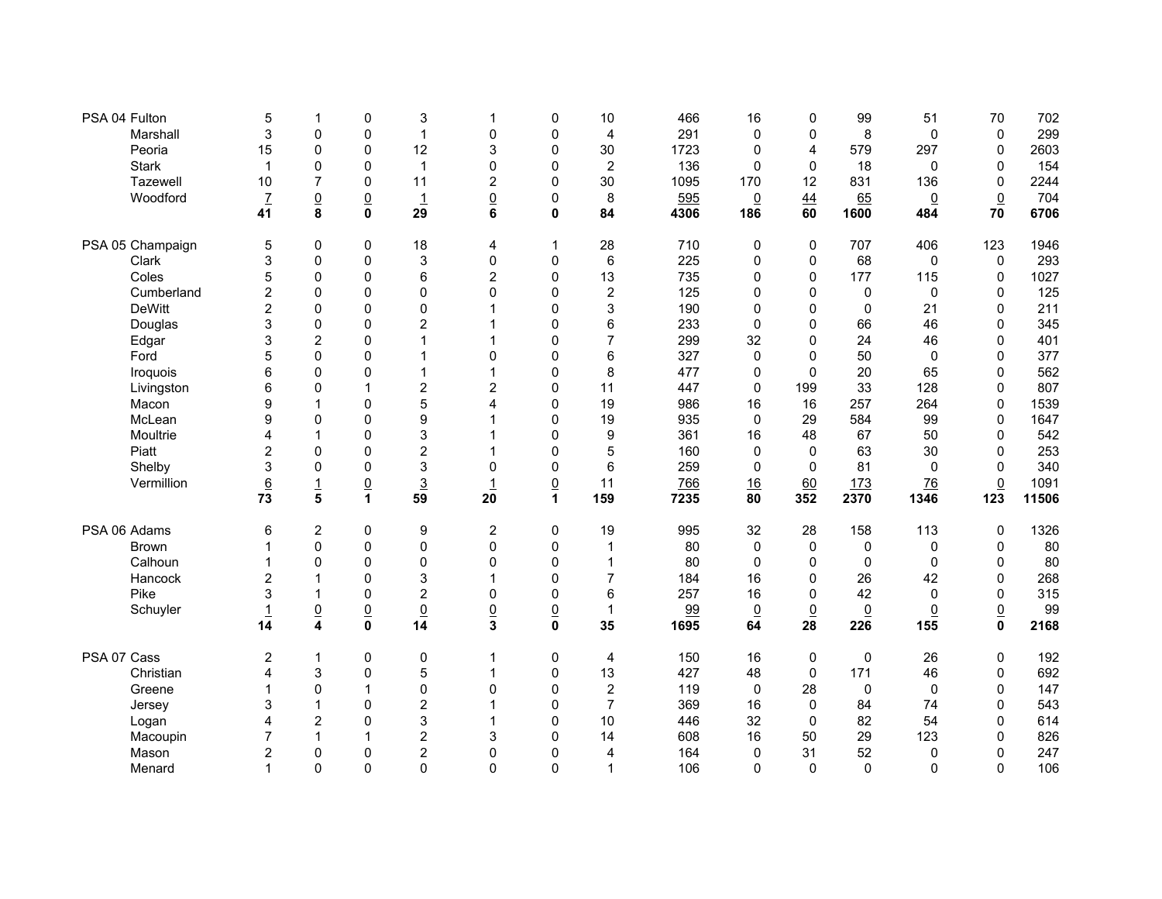| PSA 04 Fulton    | 5                       | $\mathbf 1$             | 0               | 3                | 1                       | 0               | 10               | 466  | 16             | 0               | 99              | 51              | 70              | 702   |
|------------------|-------------------------|-------------------------|-----------------|------------------|-------------------------|-----------------|------------------|------|----------------|-----------------|-----------------|-----------------|-----------------|-------|
| Marshall         | 3                       | $\mathbf 0$             | 0               | $\mathbf{1}$     | 0                       | 0               | 4                | 291  | $\mathbf 0$    | $\mathbf 0$     | 8               | 0               | $\mathbf 0$     | 299   |
| Peoria           | 15                      | $\mathbf 0$             | $\mathbf 0$     | 12               | 3                       | $\mathbf 0$     | 30               | 1723 | 0              | 4               | 579             | 297             | $\mathbf 0$     | 2603  |
| <b>Stark</b>     | 1                       | 0                       | $\mathbf 0$     | $\mathbf{1}$     | $\Omega$                | 0               | $\boldsymbol{2}$ | 136  | $\mathbf 0$    | $\Omega$        | 18              | 0               | $\mathbf 0$     | 154   |
| Tazewell         | 10                      | $\overline{7}$          | $\mathbf 0$     | 11               | $\overline{c}$          | $\mathbf 0$     | 30               | 1095 | 170            | 12              | 831             | 136             | $\mathbf 0$     | 2244  |
| Woodford         | $\mathbf{Z}$            | $\underline{0}$         | $\underline{0}$ | $\overline{1}$   | $\underline{0}$         | $\mathbf 0$     | 8                | 595  | $\overline{0}$ | 44              | 65              | $\overline{0}$  | $\underline{0}$ | 704   |
|                  | 41                      | 8                       | 0               | 29               | 6                       | 0               | 84               | 4306 | 186            | 60              | 1600            | 484             | 70              | 6706  |
| PSA 05 Champaign | 5                       | 0                       | 0               | 18               | 4                       | 1               | 28               | 710  | 0              | 0               | 707             | 406             | 123             | 1946  |
| Clark            | 3                       | 0                       | $\mathbf 0$     | 3                | 0                       | $\mathbf 0$     | 6                | 225  | 0              | $\mathbf 0$     | 68              | 0               | $\mathbf 0$     | 293   |
| Coles            | 5                       | $\mathbf 0$             | $\mathbf 0$     | 6                | $\overline{c}$          | $\mathbf 0$     | 13               | 735  | 0              | $\mathbf 0$     | 177             | 115             | $\mathbf 0$     | 1027  |
| Cumberland       | $\overline{2}$          | 0                       | $\mathbf 0$     | 0                | $\Omega$                | $\mathbf{0}$    | $\overline{c}$   | 125  | $\mathbf{0}$   | $\Omega$        | $\mathbf 0$     | 0               | $\mathbf 0$     | 125   |
| <b>DeWitt</b>    | $\overline{2}$          | $\Omega$                | $\mathbf{0}$    | 0                | 1                       | $\mathbf{0}$    | 3                | 190  | $\mathbf{0}$   | $\mathbf{0}$    | $\mathbf{0}$    | 21              | $\Omega$        | 211   |
| Douglas          | 3                       | $\pmb{0}$               | 0               | $\boldsymbol{2}$ |                         | 0               | 6                | 233  | 0              | 0               | 66              | 46              | $\mathbf 0$     | 345   |
| Edgar            | 3                       | $\overline{c}$          | 0               | $\mathbf{1}$     | 1                       | 0               | $\overline{7}$   | 299  | 32             | $\overline{0}$  | 24              | 46              | $\mathbf 0$     | 401   |
| Ford             |                         | $\mathbf 0$             | 0               | $\mathbf{1}$     | 0                       | 0               | 6                | 327  | $\mathbf 0$    | 0               | 50              | 0               | $\mathbf 0$     | 377   |
| Iroquois         | 6                       | $\overline{0}$          | $\mathbf 0$     | $\mathbf{1}$     | 1                       | $\mathbf{0}$    | 8                | 477  | 0              | $\Omega$        | 20              | 65              | $\mathbf 0$     | 562   |
| Livingston       | 6                       | $\mathbf 0$             | 1               | $\overline{c}$   | $\overline{c}$          | 0               | 11               | 447  | $\mathbf 0$    | 199             | 33              | 128             | $\mathbf 0$     | 807   |
| Macon            | 9                       | $\mathbf{1}$            | 0               | 5                | 4                       | $\mathbf 0$     | 19               | 986  | 16             | 16              | 257             | 264             | $\mathbf 0$     | 1539  |
| McLean           | 9                       | $\mathbf 0$             | 0               | 9                | 1                       | $\mathbf{0}$    | 19               | 935  | $\mathbf 0$    | 29              | 584             | 99              | $\mathbf 0$     | 1647  |
| Moultrie         |                         | $\mathbf{1}$            | $\mathbf{0}$    | 3                |                         | $\mathbf{0}$    | 9                | 361  | 16             | 48              | 67              | 50              | $\mathbf 0$     | 542   |
| Piatt            | 2                       | $\mathbf 0$             | $\mathbf 0$     | $\overline{c}$   | 1                       | 0               | 5                | 160  | 0              | $\Omega$        | 63              | 30              | $\mathbf 0$     | 253   |
| Shelby           | 3                       | 0                       | $\mathbf 0$     | 3                | $\mathbf 0$             | $\mathbf 0$     | 6                | 259  | $\mathbf 0$    | $\mathbf 0$     | 81              | 0               | $\mathbf 0$     | 340   |
| Vermillion       | $6 \overline{6}$        | $\overline{1}$          | $\underline{0}$ | $\overline{3}$   | $\mathbf{1}$            | $\overline{0}$  | 11               | 766  | 16             | 60              | 173             | $\overline{76}$ | $\underline{0}$ | 1091  |
|                  | 73                      | 5                       | 1               | 59               | 20                      | 1               | 159              | 7235 | 80             | 352             | 2370            | 1346            | 123             | 11506 |
| PSA 06 Adams     | 6                       | $\boldsymbol{2}$        | $\pmb{0}$       | 9                | $\overline{\mathbf{c}}$ | 0               | 19               | 995  | 32             | 28              | 158             | 113             | $\mathbf 0$     | 1326  |
| <b>Brown</b>     |                         | $\mathbf 0$             | $\pmb{0}$       | $\mathbf 0$      | 0                       | 0               | 1                | 80   | $\mathbf 0$    | $\mathbf 0$     | $\mathbf 0$     | 0               | $\mathbf 0$     | 80    |
| Calhoun          | 1                       | $\mathbf{0}$            | 0               | $\mathbf 0$      | $\mathbf{0}$            | $\mathbf{0}$    | 1                | 80   | $\mathbf{0}$   | $\mathbf{0}$    | $\Omega$        | $\Omega$        | $\mathbf 0$     | 80    |
| Hancock          | 2                       | 1                       | $\mathbf 0$     | 3                |                         | $\mathbf{0}$    | 7                | 184  | 16             | 0               | 26              | 42              | $\mathbf 0$     | 268   |
| Pike             | 3                       | $\mathbf{1}$            | $\mathbf{0}$    | $\overline{2}$   | $\Omega$                | $\mathbf 0$     | 6                | 257  | 16             | $\mathbf{0}$    | 42              | $\mathbf{0}$    | $\mathbf{0}$    | 315   |
| Schuyler         | $\overline{1}$          | $\underline{0}$         | $\underline{0}$ | $\underline{0}$  | $\underline{0}$         | $\underline{0}$ | $\mathbf{1}$     | 99   | $\overline{0}$ | $\underline{0}$ | $\underline{0}$ | $\underline{0}$ | $\underline{0}$ | 99    |
|                  | 14                      | $\overline{\mathbf{4}}$ | $\mathbf 0$     | 14               | 3                       | $\mathbf 0$     | 35               | 1695 | 64             | 28              | 226             | 155             | $\mathbf 0$     | 2168  |
| PSA 07 Cass      | 2                       | $\mathbf{1}$            | 0               | $\pmb{0}$        | 1                       | 0               | 4                | 150  | 16             | $\mathbf 0$     | $\mathbf 0$     | 26              | $\mathbf 0$     | 192   |
| Christian        | 4                       | 3                       | $\mathbf 0$     | 5                | 1                       | $\mathbf 0$     | 13               | 427  | 48             | $\Omega$        | 171             | 46              | $\mathbf 0$     | 692   |
| Greene           |                         | $\mathbf 0$             | 1               | $\mathbf 0$      | $\mathbf{0}$            | $\mathbf 0$     | $\boldsymbol{2}$ | 119  | $\mathbf 0$    | 28              | $\mathbf{0}$    | 0               | 0               | 147   |
| Jersey           | 3                       | $\mathbf{1}$            | 0               | $\overline{2}$   | 1                       | 0               | $\overline{7}$   | 369  | 16             | $\Omega$        | 84              | 74              | $\mathbf 0$     | 543   |
| Logan            | 4                       | $\overline{2}$          | $\mathbf 0$     | 3                |                         | $\mathbf{0}$    | 10               | 446  | 32             | $\Omega$        | 82              | 54              | $\mathbf 0$     | 614   |
| Macoupin         | 7                       | $\mathbf{1}$            | $\mathbf{1}$    | $\overline{c}$   | 3                       | $\mathbf 0$     | 14               | 608  | 16             | 50              | 29              | 123             | $\mathbf 0$     | 826   |
| Mason            | $\overline{\mathbf{c}}$ | $\mathbf 0$             | 0               | $\overline{c}$   | $\mathbf 0$             | 0               | 4                | 164  | $\mathbf 0$    | 31              | 52              | 0               | $\mathbf 0$     | 247   |
| Menard           | 1                       | $\Omega$                | 0               | $\mathbf{0}$     | $\mathbf{0}$            | $\mathbf{0}$    | $\mathbf{1}$     | 106  | $\overline{0}$ | $\mathbf{0}$    | $\overline{0}$  | 0               | $\Omega$        | 106   |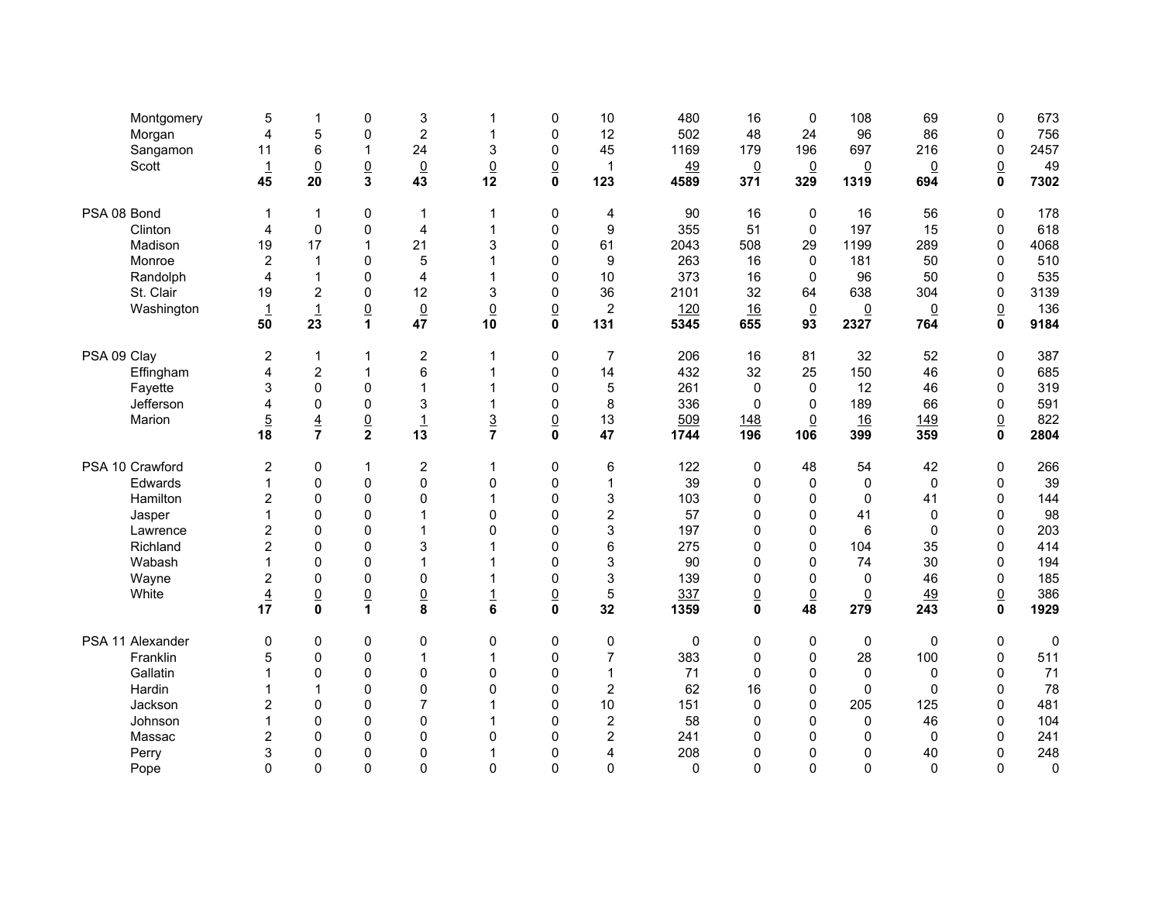| Montgomery       | 5              | 1               | 0               | 3                       | 1               | 0               | 10                      | 480         | 16              | $\mathbf 0$     | 108             | 69              | $\mathbf 0$     | 673         |
|------------------|----------------|-----------------|-----------------|-------------------------|-----------------|-----------------|-------------------------|-------------|-----------------|-----------------|-----------------|-----------------|-----------------|-------------|
| Morgan           | $\overline{4}$ | 5               | 0               | $\overline{c}$          | $\mathbf{1}$    | $\mathbf 0$     | 12                      | 502         | 48              | 24              | 96              | 86              | $\mathbf 0$     | 756         |
| Sangamon         | 11             | $\,6$           | $\mathbf 1$     | 24                      | 3               | 0               | 45                      | 1169        | 179             | 196             | 697             | 216             | $\mathbf 0$     | 2457        |
| Scott            |                | $\underline{0}$ | $\underline{0}$ | $\underline{0}$         | $\overline{0}$  | $\underline{0}$ | 1                       | 49          | $\overline{0}$  | $\underline{0}$ | $\underline{0}$ | $\overline{0}$  | $\underline{0}$ | 49          |
|                  | 45             | 20              | 3               | 43                      | 12              | $\mathbf 0$     | 123                     | 4589        | 371             | 329             | 1319            | 694             | $\mathbf{0}$    | 7302        |
| PSA 08 Bond      | 1              | $\mathbf{1}$    | 0               | $\mathbf{1}$            | $\mathbf{1}$    | $\mathbf 0$     | 4                       | 90          | 16              | 0               | 16              | 56              | $\mathbf 0$     | 178         |
| Clinton          | 4              | $\pmb{0}$       | $\mathsf 0$     | $\overline{\mathbf{4}}$ | 1               | $\pmb{0}$       | $\boldsymbol{9}$        | 355         | 51              | $\mathbf 0$     | 197             | 15              | $\mathbf 0$     | 618         |
| Madison          | 19             | 17              | $\mathbf{1}$    | 21                      | 3               | $\mathbf 0$     | 61                      | 2043        | 508             | 29              | 1199            | 289             | $\mathbf 0$     | 4068        |
| Monroe           | $\overline{c}$ | $\mathbf{1}$    | $\pmb{0}$       | 5                       | 1               | $\mathbf 0$     | $\boldsymbol{9}$        | 263         | 16              | $\Omega$        | 181             | 50              | $\pmb{0}$       | 510         |
| Randolph         | $\overline{4}$ | $\mathbf{1}$    | 0               | 4                       |                 | 0               | 10                      | 373         | 16              | 0               | 96              | 50              | $\mathbf 0$     | 535         |
| St. Clair        | 19             | $\overline{2}$  | 0               | 12                      | 3               | 0               | 36                      | 2101        | 32              | 64              | 638             | 304             | $\mathbf 0$     | 3139        |
| Washington       | $\overline{1}$ | $\overline{1}$  | $\frac{0}{1}$   | $\underline{0}$         | $\underline{0}$ | $\overline{0}$  | $\overline{c}$          | 120         | 16              | $\underline{0}$ | $\overline{0}$  | $\underline{0}$ | $\underline{0}$ | 136         |
|                  | 50             | 23              |                 | 47                      | 10              | $\mathbf 0$     | 131                     | 5345        | 655             | 93              | 2327            | 764             | $\mathbf 0$     | 9184        |
| PSA 09 Clay      | $\overline{c}$ | $\mathbf{1}$    | $\mathbf{1}$    | $\overline{\mathbf{c}}$ | $\mathbf 1$     | $\pmb{0}$       | $\overline{7}$          | 206         | 16              | 81              | 32              | 52              | $\pmb{0}$       | 387         |
| Effingham        | $\overline{4}$ | $\overline{c}$  | $\mathbf{1}$    | 6                       | 1               | $\mathbf 0$     | 14                      | 432         | 32              | 25              | 150             | 46              | $\pmb{0}$       | 685         |
| Fayette          | 3              | $\Omega$        | $\pmb{0}$       | $\mathbf{1}$            |                 | $\mathbf 0$     | 5                       | 261         | $\mathbf{0}$    | $\mathbf{0}$    | 12              | 46              | $\Omega$        | 319         |
| Jefferson        | 4              | $\pmb{0}$       | $\mathsf 0$     | 3                       | $\mathbf{1}$    | $\pmb{0}$       | 8                       | 336         | $\pmb{0}$       | 0               | 189             | 66              | $\mathsf 0$     | 591         |
| Marion           | $\overline{5}$ | $\overline{4}$  | $\underline{0}$ | $\overline{1}$          | $\overline{3}$  | $\underline{0}$ | 13                      | 509         | 148             | $\underline{0}$ | 16              | 149             | $\underline{0}$ | 822         |
|                  | 18             | $\overline{7}$  | $\overline{2}$  | 13                      | $\overline{7}$  | $\mathbf 0$     | 47                      | 1744        | 196             | 106             | 399             | 359             | $\mathbf{0}$    | 2804        |
| PSA 10 Crawford  | 2              | $\mathbf 0$     | $\mathbf{1}$    | $\overline{c}$          | $\mathbf{1}$    | 0               | 6                       | 122         | 0               | 48              | 54              | 42              | $\mathbf 0$     | 266         |
| Edwards          | 1              | $\pmb{0}$       | $\mathsf 0$     | $\pmb{0}$               | $\mathbf 0$     | $\mathbf 0$     | 1                       | 39          | $\pmb{0}$       | $\mathbf 0$     | $\pmb{0}$       | $\pmb{0}$       | $\pmb{0}$       | 39          |
| Hamilton         | $\overline{2}$ | $\mathbf 0$     | 0               | 0                       | 1               | $\mathbf 0$     | 3                       | 103         | $\Omega$        | 0               | $\mathbf 0$     | 41              | $\mathbf 0$     | 144         |
| Jasper           |                | $\mathbf{0}$    | 0               | $\mathbf{1}$            | $\Omega$        | $\overline{0}$  | $\overline{c}$          | 57          | $\Omega$        | $\mathbf{0}$    | 41              | $\Omega$        | $\mathbf 0$     | 98          |
| Lawrence         | $\overline{2}$ | $\mathbf 0$     | $\pmb{0}$       | $\mathbf{1}$            | $\mathbf{0}$    | $\mathbf 0$     | 3                       | 197         | $\Omega$        | $\mathbf 0$     | $6\phantom{1}6$ | $\mathbf 0$     | $\pmb{0}$       | 203         |
| Richland         | 2              | $\mathbf 0$     | 0               | 3                       |                 | 0               | 6                       | 275         | $\mathbf 0$     | 0               | 104             | 35              | $\pmb{0}$       | 414         |
| Wabash           | 1              | $\mathbf 0$     | $\mathbf{0}$    | $\mathbf{1}$            |                 | $\overline{0}$  | 3                       | 90          | $\Omega$        | $\overline{0}$  | 74              | 30              | $\mathbf 0$     | 194         |
| Wayne            | 2              | $\mathbf 0$     | 0               | $\mathbf 0$             | 1               | 0               | 3                       | 139         | $\Omega$        | $\mathbf{0}$    | 0               | 46              | $\pmb{0}$       | 185         |
| White            | $\overline{4}$ | $\underline{0}$ | $\frac{0}{1}$   | $\frac{0}{8}$           | $\overline{1}$  | $\underline{0}$ | 5                       | 337         | $\underline{0}$ | $\underline{0}$ | $\underline{0}$ | 49              | $\underline{0}$ | 386         |
|                  | 17             | $\mathbf 0$     |                 |                         | 6               | $\pmb{0}$       | 32                      | 1359        | $\mathbf 0$     | 48              | 279             | 243             | $\mathbf 0$     | 1929        |
| PSA 11 Alexander | 0              | $\pmb{0}$       | 0               | 0                       | 0               | $\mathbf 0$     | 0                       | $\mathbf 0$ | $\mathbf 0$     | $\mathbf 0$     | $\mathbf 0$     | 0               | 0               | $\mathbf 0$ |
| Franklin         | 5              | $\pmb{0}$       | $\mathsf 0$     | $\mathbf{1}$            | 1               | $\mathbf 0$     | $\overline{7}$          | 383         | $\mathbf 0$     | $\mathbf 0$     | 28              | 100             | $\mathsf 0$     | 511         |
| Gallatin         |                | $\mathbf{0}$    | $\pmb{0}$       | 0                       | $\mathbf{0}$    | $\mathbf 0$     | 1                       | 71          | $\Omega$        | $\mathbf{0}$    | $\mathbf 0$     | 0               | $\mathbf 0$     | 71          |
| Hardin           |                | $\mathbf{1}$    | 0               | $\pmb{0}$               | $\mathbf 0$     | $\mathbf 0$     | $\overline{\mathbf{c}}$ | 62          | 16              | $\mathbf 0$     | $\mathbf 0$     | $\mathbf 0$     | $\mathbf 0$     | 78          |
| Jackson          | 2              | $\mathbf 0$     | 0               | $\overline{7}$          | 1               | $\mathbf 0$     | 10                      | 151         | $\mathbf 0$     | 0               | 205             | 125             | $\mathbf 0$     | 481         |
| Johnson          |                | $\mathbf 0$     | 0               | 0                       |                 | $\mathbf 0$     | $\overline{\mathbf{c}}$ | 58          | $\mathbf{0}$    | $\mathbf{0}$    | 0               | 46              | $\mathbf 0$     | 104         |
| Massac           | 2              | $\mathbf 0$     | 0               | 0                       | $\mathbf{0}$    | 0               | $\overline{c}$          | 241         | $\mathbf{0}$    | $\overline{0}$  | $\mathbf{0}$    | 0               | $\pmb{0}$       | 241         |
| Perry            | 3              | $\mathbf 0$     | $\mathbf 0$     | 0                       | 1               | 0               | 4                       | 208         | 0               | 0               | 0               | 40              | $\mathbf 0$     | 248         |
| Pope             | 0              | $\mathbf{0}$    | $\Omega$        | $\mathbf 0$             | $\mathbf{0}$    | $\overline{0}$  | 0                       | $\Omega$    | $\mathbf{0}$    | $\Omega$        | $\Omega$        | $\Omega$        | $\mathbf{0}$    | $\mathbf 0$ |